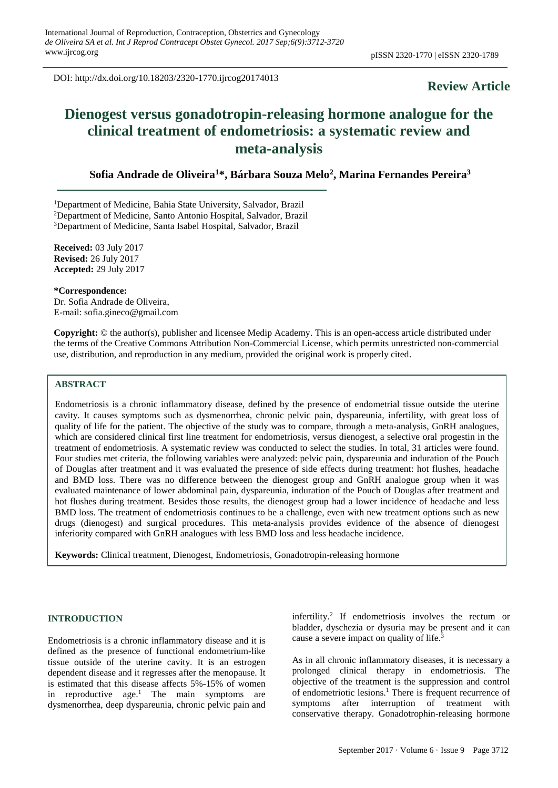DOI: http://dx.doi.org/10.18203/2320-1770.ijrcog20174013

# **Review Article**

# **Dienogest versus gonadotropin-releasing hormone analogue for the clinical treatment of endometriosis: a systematic review and meta-analysis**

# **Sofia Andrade de Oliveira<sup>1</sup>\*, Bárbara Souza Melo<sup>2</sup> , Marina Fernandes Pereira<sup>3</sup>**

<sup>1</sup>Department of Medicine, Bahia State University, Salvador, Brazil

<sup>2</sup>Department of Medicine, Santo Antonio Hospital, Salvador, Brazil

<sup>3</sup>Department of Medicine, Santa Isabel Hospital, Salvador, Brazil

**Received:** 03 July 2017 **Revised:** 26 July 2017 **Accepted:** 29 July 2017

**\*Correspondence:** Dr. Sofia Andrade de Oliveira, E-mail: sofia.gineco@gmail.com

**Copyright:** © the author(s), publisher and licensee Medip Academy. This is an open-access article distributed under the terms of the Creative Commons Attribution Non-Commercial License, which permits unrestricted non-commercial use, distribution, and reproduction in any medium, provided the original work is properly cited.

# **ABSTRACT**

Endometriosis is a chronic inflammatory disease, defined by the presence of endometrial tissue outside the uterine cavity. It causes symptoms such as dysmenorrhea, chronic pelvic pain, dyspareunia, infertility, with great loss of quality of life for the patient. The objective of the study was to compare, through a meta-analysis, GnRH analogues, which are considered clinical first line treatment for endometriosis, versus dienogest, a selective oral progestin in the treatment of endometriosis. A systematic review was conducted to select the studies. In total, 31 articles were found. Four studies met criteria, the following variables were analyzed: pelvic pain, dyspareunia and induration of the Pouch of Douglas after treatment and it was evaluated the presence of side effects during treatment: hot flushes, headache and BMD loss. There was no difference between the dienogest group and GnRH analogue group when it was evaluated maintenance of lower abdominal pain, dyspareunia, induration of the Pouch of Douglas after treatment and hot flushes during treatment. Besides those results, the dienogest group had a lower incidence of headache and less BMD loss. The treatment of endometriosis continues to be a challenge, even with new treatment options such as new drugs (dienogest) and surgical procedures. This meta-analysis provides evidence of the absence of dienogest inferiority compared with GnRH analogues with less BMD loss and less headache incidence.

**Keywords:** Clinical treatment, Dienogest, Endometriosis, Gonadotropin-releasing hormone

#### **INTRODUCTION**

Endometriosis is a chronic inflammatory disease and it is defined as the presence of functional endometrium-like tissue outside of the uterine cavity. It is an estrogen dependent disease and it regresses after the menopause. It is estimated that this disease affects 5%-15% of women in reproductive age.<sup>1</sup> The main symptoms are dysmenorrhea, deep dyspareunia, chronic pelvic pain and

infertility. 2 If endometriosis involves the rectum or bladder, dyschezia or dysuria may be present and it can cause a severe impact on quality of life.<sup>3</sup>

As in all chronic inflammatory diseases, it is necessary a prolonged clinical therapy in endometriosis. The objective of the treatment is the suppression and control of endometriotic lesions. <sup>1</sup> There is frequent recurrence of symptoms after interruption of treatment with conservative therapy. Gonadotrophin-releasing hormone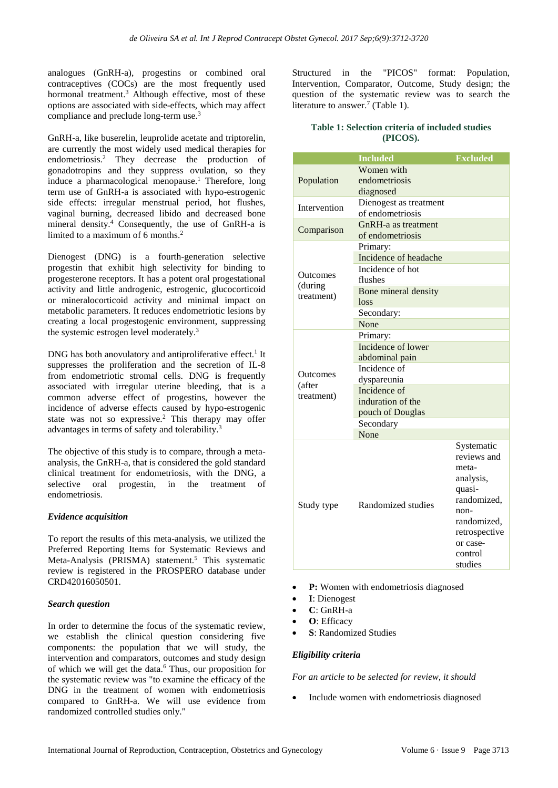analogues (GnRH-a), progestins or combined oral contraceptives (COCs) are the most frequently used hormonal treatment.<sup>3</sup> Although effective, most of these options are associated with side-effects, which may affect compliance and preclude long-term use. 3

GnRH-a, like buserelin, leuprolide acetate and triptorelin, are currently the most widely used medical therapies for endometriosis. <sup>2</sup> They decrease the production of gonadotropins and they suppress ovulation, so they induce a pharmacological menopause. <sup>1</sup> Therefore, long term use of GnRH-a is associated with hypo-estrogenic side effects: irregular menstrual period, hot flushes, vaginal burning, decreased libido and decreased bone mineral density. <sup>4</sup> Consequently, the use of GnRH-a is limited to a maximum of 6 months. 2

Dienogest (DNG) is a fourth-generation selective progestin that exhibit high selectivity for binding to progesterone receptors. It has a potent oral progestational activity and little androgenic, estrogenic, glucocorticoid or mineralocorticoid activity and minimal impact on metabolic parameters. It reduces endometriotic lesions by creating a local progestogenic environment, suppressing the systemic estrogen level moderately.<sup>3</sup>

DNG has both anovulatory and antiproliferative effect.<sup>1</sup> It suppresses the proliferation and the secretion of IL-8 from endometriotic stromal cells. DNG is frequently associated with irregular uterine bleeding, that is a common adverse effect of progestins, however the incidence of adverse effects caused by hypo-estrogenic state was not so expressive. <sup>2</sup> This therapy may offer advantages in terms of safety and tolerability.<sup>3</sup>

The objective of this study is to compare, through a metaanalysis, the GnRH-a, that is considered the gold standard clinical treatment for endometriosis, with the DNG, a selective oral progestin, in the treatment of endometriosis.

## *Evidence acquisition*

To report the results of this meta-analysis, we utilized the Preferred Reporting Items for Systematic Reviews and Meta-Analysis (PRISMA) statement.<sup>5</sup> This systematic review is registered in the PROSPERO database under CRD42016050501.

#### *Search question*

In order to determine the focus of the systematic review, we establish the clinical question considering five components: the population that we will study, the intervention and comparators, outcomes and study design of which we will get the data.<sup>6</sup> Thus, our proposition for the systematic review was "to examine the efficacy of the DNG in the treatment of women with endometriosis compared to GnRH-a. We will use evidence from randomized controlled studies only."

Structured in the "PICOS" format: Population, Intervention, Comparator, Outcome, Study design; the question of the systematic review was to search the literature to answer.<sup>7</sup> (Table 1).

#### **Table 1: Selection criteria of included studies (PICOS).**

|                 | <b>Included</b>        | <b>Excluded</b> |  |  |  |  |
|-----------------|------------------------|-----------------|--|--|--|--|
|                 | Women with             |                 |  |  |  |  |
| Population      | endometriosis          |                 |  |  |  |  |
|                 | diagnosed              |                 |  |  |  |  |
| Intervention    | Dienogest as treatment |                 |  |  |  |  |
|                 | of endometriosis       |                 |  |  |  |  |
| Comparison      | GnRH-a as treatment    |                 |  |  |  |  |
|                 | of endometriosis       |                 |  |  |  |  |
|                 | Primary:               |                 |  |  |  |  |
|                 | Incidence of headache  |                 |  |  |  |  |
| <b>Outcomes</b> | Incidence of hot       |                 |  |  |  |  |
| (during         | flushes                |                 |  |  |  |  |
| treatment)      | Bone mineral density   |                 |  |  |  |  |
|                 | loss                   |                 |  |  |  |  |
|                 | Secondary:             |                 |  |  |  |  |
|                 | None                   |                 |  |  |  |  |
|                 | Primary:               |                 |  |  |  |  |
|                 | Incidence of lower     |                 |  |  |  |  |
|                 | abdominal pain         |                 |  |  |  |  |
| Outcomes        | Incidence of           |                 |  |  |  |  |
| (after          | dyspareunia            |                 |  |  |  |  |
| treatment)      | Incidence of           |                 |  |  |  |  |
|                 | induration of the      |                 |  |  |  |  |
|                 | pouch of Douglas       |                 |  |  |  |  |
|                 | Secondary              |                 |  |  |  |  |
|                 | None                   |                 |  |  |  |  |
|                 |                        | Systematic      |  |  |  |  |
|                 |                        | reviews and     |  |  |  |  |
|                 |                        | meta-           |  |  |  |  |
|                 |                        | analysis,       |  |  |  |  |
|                 |                        | quasi-          |  |  |  |  |
| Study type      | Randomized studies     | randomized,     |  |  |  |  |
|                 |                        | $non-$          |  |  |  |  |
|                 |                        | randomized,     |  |  |  |  |
|                 |                        | retrospective   |  |  |  |  |
|                 |                        | or case-        |  |  |  |  |
|                 |                        | control         |  |  |  |  |
|                 |                        | studies         |  |  |  |  |

• **P:** Women with endometriosis diagnosed

- **I**: Dienogest
- **C**: GnRH-a
- **O**: Efficacy
- **S**: Randomized Studies

#### *Eligibility criteria*

*For an article to be selected for review, it should*

• Include women with endometriosis diagnosed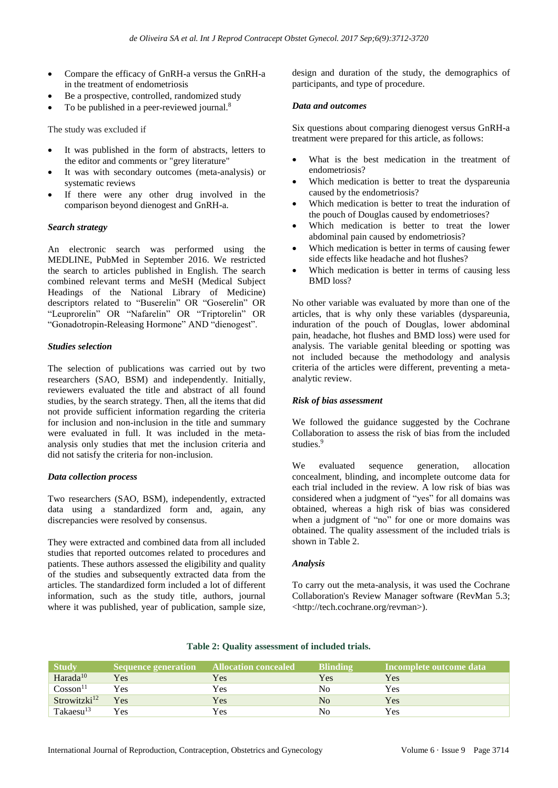- Compare the efficacy of GnRH-a versus the GnRH-a in the treatment of endometriosis
- Be a prospective, controlled, randomized study
- To be published in a peer-reviewed journal.<sup>8</sup>

The study was excluded if

- It was published in the form of abstracts, letters to the editor and comments or "grey literature"
- It was with secondary outcomes (meta-analysis) or systematic reviews
- If there were any other drug involved in the comparison beyond dienogest and GnRH-a.

#### *Search strategy*

An electronic search was performed using the MEDLINE, PubMed in September 2016. We restricted the search to articles published in English. The search combined relevant terms and MeSH (Medical Subject Headings of the National Library of Medicine) descriptors related to "Buserelin" OR "Goserelin" OR "Leuprorelin" OR "Nafarelin" OR "Triptorelin" OR "Gonadotropin-Releasing Hormone" AND "dienogest".

#### *Studies selection*

The selection of publications was carried out by two researchers (SAO, BSM) and independently. Initially, reviewers evaluated the title and abstract of all found studies, by the search strategy. Then, all the items that did not provide sufficient information regarding the criteria for inclusion and non-inclusion in the title and summary were evaluated in full. It was included in the metaanalysis only studies that met the inclusion criteria and did not satisfy the criteria for non-inclusion.

#### *Data collection process*

Two researchers (SAO, BSM), independently, extracted data using a standardized form and, again, any discrepancies were resolved by consensus.

They were extracted and combined data from all included studies that reported outcomes related to procedures and patients. These authors assessed the eligibility and quality of the studies and subsequently extracted data from the articles. The standardized form included a lot of different information, such as the study title, authors, journal where it was published, year of publication, sample size, design and duration of the study, the demographics of participants, and type of procedure.

#### *Data and outcomes*

Six questions about comparing dienogest versus GnRH-a treatment were prepared for this article, as follows:

- What is the best medication in the treatment of endometriosis?
- Which medication is better to treat the dyspareunia caused by the endometriosis?
- Which medication is better to treat the induration of the pouch of Douglas caused by endometrioses?
- Which medication is better to treat the lower abdominal pain caused by endometriosis?
- Which medication is better in terms of causing fewer side effects like headache and hot flushes?
- Which medication is better in terms of causing less BMD loss?

No other variable was evaluated by more than one of the articles, that is why only these variables (dyspareunia, induration of the pouch of Douglas, lower abdominal pain, headache, hot flushes and BMD loss) were used for analysis. The variable genital bleeding or spotting was not included because the methodology and analysis criteria of the articles were different, preventing a metaanalytic review.

## *Risk of bias assessment*

We followed the guidance suggested by the Cochrane Collaboration to assess the risk of bias from the included studies.<sup>9</sup>

We evaluated sequence generation, allocation concealment, blinding, and incomplete outcome data for each trial included in the review. A low risk of bias was considered when a judgment of "yes" for all domains was obtained, whereas a high risk of bias was considered when a judgment of "no" for one or more domains was obtained. The quality assessment of the included trials is shown in Table 2.

#### *Analysis*

To carry out the meta-analysis, it was used the Cochrane Collaboration's Review Manager software (RevMan 5.3; <http://tech.cochrane.org/revman>).

| <b>Study</b>             | Sequence generation | <b>Allocation concealed</b> | <b>Blinding</b> | Incomplete outcome data |
|--------------------------|---------------------|-----------------------------|-----------------|-------------------------|
| Harada <sup>10</sup>     | Yes                 | Yes                         | Yes             | Yes                     |
| Cosson <sup>11</sup>     | Yes                 | Yes                         | No              | Yes                     |
| Strowitzki <sup>12</sup> | Yes                 | Yes                         | N <sub>0</sub>  | Yes                     |
| Takaesu <sup>13</sup>    | Yes                 | Yes                         | No              | Yes                     |

## **Table 2: Quality assessment of included trials.**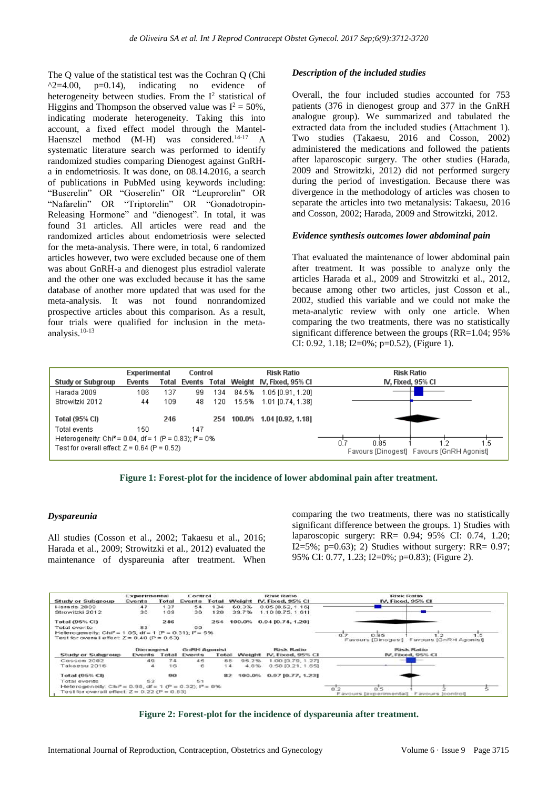The Q value of the statistical test was the Cochran Q (Chi  $\lambda$ 2=4.00, p=0.14), indicating no evidence of heterogeneity between studies. From the  $I^2$  statistical of Higgins and Thompson the observed value was  $I^2 = 50\%$ , indicating moderate heterogeneity. Taking this into account, a fixed effect model through the Mantel-Haenszel method (M-H) was considered.<sup>14-17</sup> A systematic literature search was performed to identify randomized studies comparing Dienogest against GnRHa in endometriosis. It was done, on 08.14.2016, a search of publications in PubMed using keywords including: "Buserelin" OR "Goserelin" OR "Leuprorelin" OR "Nafarelin" OR "Triptorelin" OR "Gonadotropin-Releasing Hormone" and "dienogest". In total, it was found 31 articles. All articles were read and the randomized articles about endometriosis were selected for the meta-analysis. There were, in total, 6 randomized articles however, two were excluded because one of them was about GnRH-a and dienogest plus estradiol valerate and the other one was excluded because it has the same database of another more updated that was used for the meta-analysis. It was not found nonrandomized prospective articles about this comparison. As a result, four trials were qualified for inclusion in the metaanalysis.10-13

## *Description of the included studies*

Overall, the four included studies accounted for 753 patients (376 in dienogest group and 377 in the GnRH analogue group). We summarized and tabulated the extracted data from the included studies (Attachment 1). Two studies (Takaesu, 2016 and Cosson, 2002) administered the medications and followed the patients after laparoscopic surgery. The other studies (Harada, 2009 and Strowitzki, 2012) did not performed surgery during the period of investigation. Because there was divergence in the methodology of articles was chosen to separate the articles into two metanalysis: Takaesu, 2016 and Cosson, 2002; Harada, 2009 and Strowitzki, 2012.

#### *Evidence synthesis outcomes lower abdominal pain*

That evaluated the maintenance of lower abdominal pain after treatment. It was possible to analyze only the articles Harada et al., 2009 and Strowitzki et al., 2012, because among other two articles, just Cosson et al., 2002, studied this variable and we could not make the meta-analytic review with only one article. When comparing the two treatments, there was no statistically significant difference between the groups (RR=1.04; 95% CI: 0.92, 1.18; I2=0%; p=0.52), (Figure 1).

|                                                                                                            | Experimental |     | Control |     |  | <b>Risk Ratio</b>                           | <b>Risk Ratio</b> |
|------------------------------------------------------------------------------------------------------------|--------------|-----|---------|-----|--|---------------------------------------------|-------------------|
| Study or Subgroup                                                                                          | Events       |     |         |     |  | Total Events Total Weight IV, Fixed, 95% CI | IV, Fixed, 95% CI |
| Harada 2009                                                                                                | 106          | 137 | 99      | 134 |  | 84.5% 1.05 [0.91, 1.20]                     |                   |
| Strowitzki 2012                                                                                            | 44           | 109 | 48      | 120 |  | 15.5% 1.01 [0.74, 1.38]                     |                   |
| Total (95% CI)                                                                                             |              | 246 |         |     |  | 254 100.0% 1.04 [0.92, 1.18]                |                   |
| Total events                                                                                               | 150.         |     | 147     |     |  |                                             |                   |
| Heterogeneity: Chi <sup>2</sup> = 0.04, df = 1 (P = 0.83); $P = 0\%$                                       |              |     |         |     |  |                                             |                   |
| N 85<br>0.7<br>Test for overall effect: $Z = 0.64$ (P = 0.52)<br>Favours [Dinogest] Favours [GnRH Agonist] |              |     |         |     |  |                                             |                   |

**Figure 1: Forest-plot for the incidence of lower abdominal pain after treatment.**

## *Dyspareunia*

All studies (Cosson et al., 2002; Takaesu et al., 2016; Harada et al., 2009; Strowitzki et al., 2012) evaluated the maintenance of dyspareunia after treatment. When comparing the two treatments, there was no statistically significant difference between the groups. 1) Studies with laparoscopic surgery: RR= 0.94; 95% CI: 0.74, 1.20;  $I2=5\%$ ; p=0.63); 2) Studies without surgery: RR= 0.97; 95% CI: 0.77, 1.23; I2=0%; p=0.83); (Figure 2).

|                                                                 |                            | Experimental<br>Control |                               |              |                             | <b>Risk Ratio</b>   | <b>Risk Ratio</b><br>IV, Fixed, 95% CI          |  |  |
|-----------------------------------------------------------------|----------------------------|-------------------------|-------------------------------|--------------|-----------------------------|---------------------|-------------------------------------------------|--|--|
| <b>Study or Subgroup</b>                                        | Events                     | Total                   |                               | Events Total | IV, Fixed, 95% CI<br>Weight |                     |                                                 |  |  |
| Harada 2009                                                     | 47                         | 137                     | 54                            | 134          | 60.3%                       | $0.85$ [0.62, 1.16] |                                                 |  |  |
| Strowitzki 2012                                                 | 36                         | 109                     | 36                            | 120          | 39.7%                       | 1.10 [0.75, 1.61]   |                                                 |  |  |
| Total (95% CI)                                                  |                            | 246                     |                               | 254          | 100.0%                      | $0.94$ [0.74, 1.20] |                                                 |  |  |
| Total events                                                    | 83                         |                         | 90                            |              |                             |                     |                                                 |  |  |
| Heterogeneity: $ChP = 1.05$ , $df = 1$ ( $P = 0.31$ ); $P = 5%$ |                            |                         |                               |              |                             |                     | 0.85<br>0.7<br>∍                                |  |  |
| Test for overall effect: $Z = 0.48$ (P = 0.63)                  |                            |                         |                               |              |                             |                     | -5<br>Favours (Dinogest) Favours (GnRH Agonist) |  |  |
|                                                                 |                            |                         |                               |              |                             |                     |                                                 |  |  |
|                                                                 |                            |                         |                               |              |                             | <b>Risk Ratio</b>   | <b>Risk Ratio</b>                               |  |  |
| <b>Study or Subgroup</b>                                        | <b>Dienogest</b><br>Events | Total                   | <b>GnRH Agonist</b><br>Events | Total        | Weight                      | IV, Fixed, 95% CI   | IV, Fixed, 95% CI                               |  |  |
| Cosson 2002                                                     | 49                         | 74                      | 45                            | 68           | 95.2%                       | 1.00 [0.79, 1.27]   |                                                 |  |  |
| Takaesu 2016                                                    |                            | 16                      | 6                             | 14           | 4.8%                        | 0.58 [0.21, 1.65]   |                                                 |  |  |
| <b>Total (95% CB)</b>                                           |                            | 90                      |                               | 82           | 100.0%                      | 0.97 [0.77, 1.23]   |                                                 |  |  |
| Total events                                                    | 53                         |                         | 51                            |              |                             |                     |                                                 |  |  |
| Heterogeneity: Chiff = 0.98, df = 1 (P = 0.32); if = 0%         |                            |                         |                               |              |                             |                     | 0.2<br>0.5                                      |  |  |

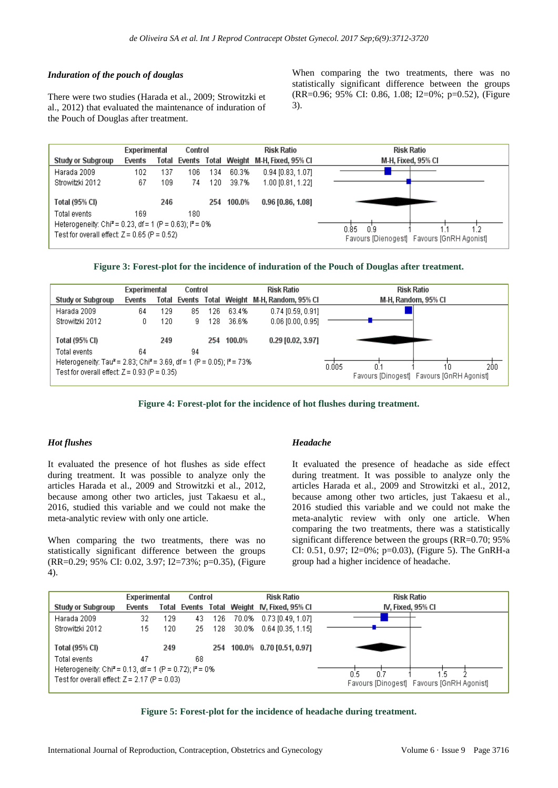## *Induration of the pouch of douglas*

There were two studies (Harada et al., 2009; Strowitzki et al., 2012) that evaluated the maintenance of induration of the Pouch of Douglas after treatment.

When comparing the two treatments, there was no statistically significant difference between the groups (RR=0.96; 95% CI: 0.86, 1.08; I2=0%; p=0.52), (Figure 3).







**Figure 4: Forest-plot for the incidence of hot flushes during treatment.**

## *Hot flushes*

It evaluated the presence of hot flushes as side effect during treatment. It was possible to analyze only the articles Harada et al., 2009 and Strowitzki et al., 2012, because among other two articles, just Takaesu et al., 2016, studied this variable and we could not make the meta-analytic review with only one article.

When comparing the two treatments, there was no statistically significant difference between the groups (RR=0.29; 95% CI: 0.02, 3.97; I2=73%; p=0.35), (Figure 4).

#### *Headache*

It evaluated the presence of headache as side effect during treatment. It was possible to analyze only the articles Harada et al., 2009 and Strowitzki et al., 2012, because among other two articles, just Takaesu et al., 2016 studied this variable and we could not make the meta-analytic review with only one article. When comparing the two treatments, there was a statistically significant difference between the groups (RR=0.70; 95% CI: 0.51, 0.97; I2=0%; p=0.03), (Figure 5). The GnRH-a group had a higher incidence of headache.



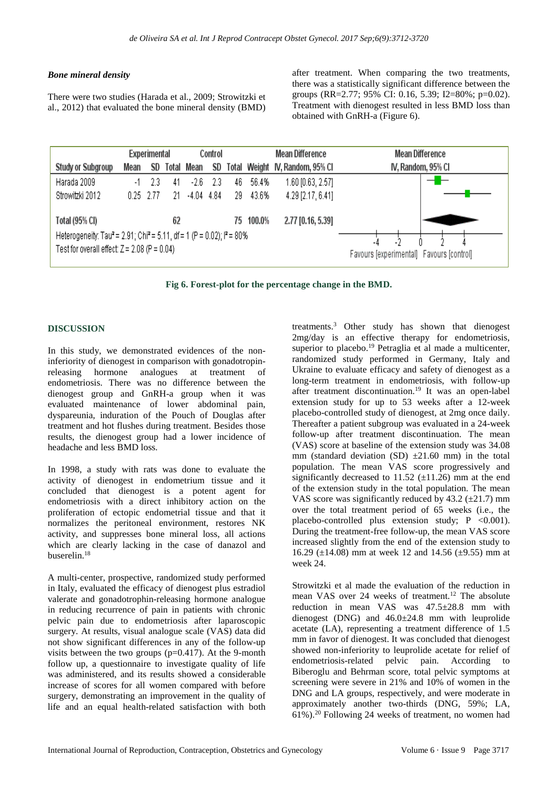## *Bone mineral density*

There were two studies (Harada et al., 2009; Strowitzki et al., 2012) that evaluated the bone mineral density (BMD) after treatment. When comparing the two treatments, there was a statistically significant difference between the groups (RR=2.77; 95% CI: 0.16, 5.39; I2=80%; p=0.02). Treatment with dienogest resulted in less BMD loss than obtained with GnRH-a (Figure 6).



**Fig 6. Forest-plot for the percentage change in the BMD.**

## **DISCUSSION**

In this study, we demonstrated evidences of the noninferiority of dienogest in comparison with gonadotropinreleasing hormone analogues at treatment of endometriosis. There was no difference between the dienogest group and GnRH-a group when it was evaluated maintenance of lower abdominal pain, dyspareunia, induration of the Pouch of Douglas after treatment and hot flushes during treatment. Besides those results, the dienogest group had a lower incidence of headache and less BMD loss.

In 1998, a study with rats was done to evaluate the activity of dienogest in endometrium tissue and it concluded that dienogest is a potent agent for endometriosis with a direct inhibitory action on the proliferation of ectopic endometrial tissue and that it normalizes the peritoneal environment, restores NK activity, and suppresses bone mineral loss, all actions which are clearly lacking in the case of danazol and buserelin.<sup>18</sup>

A multi-center, prospective, randomized study performed in Italy, evaluated the efficacy of dienogest plus estradiol valerate and gonadotrophin-releasing hormone analogue in reducing recurrence of pain in patients with chronic pelvic pain due to endometriosis after laparoscopic surgery. At results, visual analogue scale (VAS) data did not show significant differences in any of the follow-up visits between the two groups  $(p=0.417)$ . At the 9-month follow up, a questionnaire to investigate quality of life was administered, and its results showed a considerable increase of scores for all women compared with before surgery, demonstrating an improvement in the quality of life and an equal health-related satisfaction with both

treatments. <sup>3</sup> Other study has shown that dienogest 2mg/day is an effective therapy for endometriosis, superior to placebo. <sup>19</sup> Petraglia et al made a multicenter, randomized study performed in Germany, Italy and Ukraine to evaluate efficacy and safety of dienogest as a long-term treatment in endometriosis, with follow-up after treatment discontinuation.<sup>19</sup> It was an open-label extension study for up to 53 weeks after a 12-week placebo-controlled study of dienogest, at 2mg once daily. Thereafter a patient subgroup was evaluated in a 24-week follow-up after treatment discontinuation. The mean (VAS) score at baseline of the extension study was 34.08 mm (standard deviation (SD)  $\pm 21.60$  mm) in the total population. The mean VAS score progressively and significantly decreased to 11.52 ( $\pm$ 11.26) mm at the end of the extension study in the total population. The mean VAS score was significantly reduced by  $43.2 \ (\pm 21.7) \text{ mm}$ over the total treatment period of 65 weeks (i.e., the placebo-controlled plus extension study;  $P < 0.001$ ). During the treatment-free follow-up, the mean VAS score increased slightly from the end of the extension study to 16.29 (±14.08) mm at week 12 and 14.56 (±9.55) mm at week 24.

Strowitzki et al made the evaluation of the reduction in mean VAS over 24 weeks of treatment.<sup>12</sup> The absolute reduction in mean VAS was 47.5±28.8 mm with dienogest (DNG) and 46.0±24.8 mm with leuprolide acetate (LA), representing a treatment difference of 1.5 mm in favor of dienogest. It was concluded that dienogest showed non-inferiority to leuprolide acetate for relief of endometriosis-related pelvic pain. According to Biberoglu and Behrman score, total pelvic symptoms at screening were severe in 21% and 10% of women in the DNG and LA groups, respectively, and were moderate in approximately another two-thirds (DNG, 59%; LA, 61%).<sup>20</sup> Following 24 weeks of treatment, no women had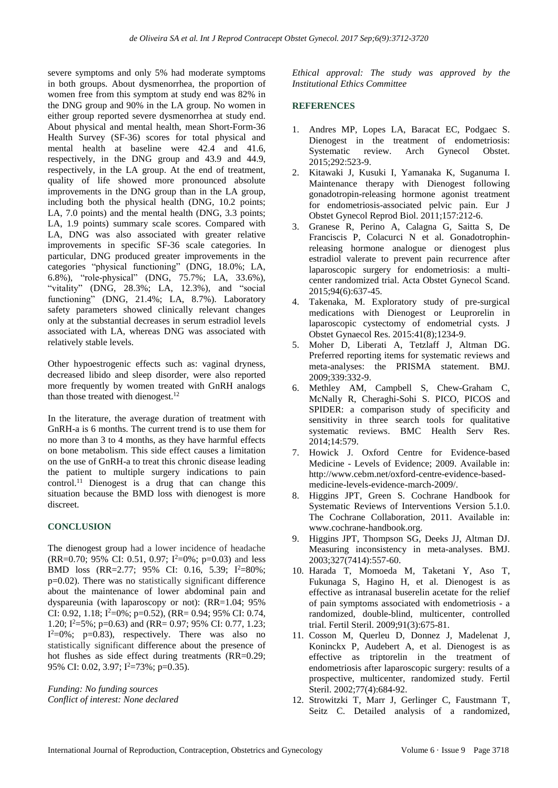severe symptoms and only 5% had moderate symptoms in both groups. About dysmenorrhea, the proportion of women free from this symptom at study end was 82% in the DNG group and 90% in the LA group. No women in either group reported severe dysmenorrhea at study end. About physical and mental health, mean Short-Form-36 Health Survey (SF-36) scores for total physical and mental health at baseline were 42.4 and 41.6, respectively, in the DNG group and 43.9 and 44.9, respectively, in the LA group. At the end of treatment, quality of life showed more pronounced absolute improvements in the DNG group than in the LA group, including both the physical health (DNG, 10.2 points; LA, 7.0 points) and the mental health (DNG, 3.3 points; LA, 1.9 points) summary scale scores. Compared with LA, DNG was also associated with greater relative improvements in specific SF-36 scale categories. In particular, DNG produced greater improvements in the categories "physical functioning" (DNG, 18.0%; LA, 6.8%), "role-physical" (DNG, 75.7%; LA, 33.6%), "vitality" (DNG, 28.3%; LA, 12.3%), and "social functioning" (DNG, 21.4%; LA, 8.7%). Laboratory safety parameters showed clinically relevant changes only at the substantial decreases in serum estradiol levels associated with LA, whereas DNG was associated with relatively stable levels.

Other hypoestrogenic effects such as: vaginal dryness, decreased libido and sleep disorder, were also reported more frequently by women treated with GnRH analogs than those treated with dienogest.<sup>12</sup>

In the literature, the average duration of treatment with GnRH-a is 6 months. The current trend is to use them for no more than 3 to 4 months, as they have harmful effects on bone metabolism. This side effect causes a limitation on the use of GnRH-a to treat this chronic disease leading the patient to multiple surgery indications to pain control. <sup>11</sup> Dienogest is a drug that can change this situation because the BMD loss with dienogest is more discreet.

# **CONCLUSION**

The dienogest group had a lower incidence of headache (RR=0.70; 95% CI: 0.51, 0.97; I <sup>2</sup>=0%; p=0.03) and less BMD loss (RR=2.77; 95% CI: 0.16, 5.39; I <sup>2</sup>=80%;  $p=0.02$ ). There was no statistically significant difference about the maintenance of lower abdominal pain and dyspareunia (with laparoscopy or not): (RR=1.04; 95% CI: 0.92, 1.18;  $I^2=0\%$ ; p=0.52), (RR= 0.94; 95% CI: 0.74, 1.20; I <sup>2</sup>=5%; p=0.63) and (RR= 0.97; 95% CI: 0.77, 1.23;  $I^2=0\%$ ; p=0.83), respectively. There was also no statistically significant difference about the presence of hot flushes as side effect during treatments (RR=0.29; 95% CI: 0.02, 3.97; I<sup>2</sup>=73%; p=0.35).

*Funding: No funding sources Conflict of interest: None declared* *Ethical approval: The study was approved by the Institutional Ethics Committee*

## **REFERENCES**

- 1. Andres MP, Lopes LA, Baracat EC, Podgaec S. Dienogest in the treatment of endometriosis: Systematic review. Arch Gynecol Obstet. 2015;292:523-9.
- 2. Kitawaki J, Kusuki I, Yamanaka K, Suganuma I. Maintenance therapy with Dienogest following gonadotropin-releasing hormone agonist treatment for endometriosis-associated pelvic pain. Eur J Obstet Gynecol Reprod Biol. 2011;157:212-6.
- 3. Granese R, Perino A, Calagna G, Saitta S, De Franciscis P, Colacurci N et al. Gonadotrophinreleasing hormone analogue or dienogest plus estradiol valerate to prevent pain recurrence after laparoscopic surgery for endometriosis: a multicenter randomized trial. Acta Obstet Gynecol Scand. 2015;94(6):637-45.
- 4. Takenaka, M. Exploratory study of pre-surgical medications with Dienogest or Leuprorelin in laparoscopic cystectomy of endometrial cysts. J Obstet Gynaecol Res. 2015:41(8);1234-9.
- 5. Moher D, Liberati A, Tetzlaff J, Altman DG. Preferred reporting items for systematic reviews and meta-analyses: the PRISMA statement. BMJ. 2009;339:332-9.
- 6. Methley AM, Campbell S, Chew-Graham C, McNally R, Cheraghi-Sohi S. PICO, PICOS and SPIDER: a comparison study of specificity and sensitivity in three search tools for qualitative systematic reviews. BMC Health Serv Res. 2014;14:579.
- 7. Howick J. Oxford Centre for Evidence-based Medicine - Levels of Evidence; 2009. Available in: http://www.cebm.net/oxford-centre-evidence-basedmedicine-levels-evidence-march-2009/.
- 8. Higgins JPT, Green S. Cochrane Handbook for Systematic Reviews of Interventions Version 5.1.0. The Cochrane Collaboration, 2011. Available in: www.cochrane-handbook.org.
- 9. Higgins JPT, Thompson SG, Deeks JJ, Altman DJ. Measuring inconsistency in meta-analyses. BMJ. 2003;327(7414):557-60.
- 10. Harada T, Momoeda M, Taketani Y, Aso T, Fukunaga S, Hagino H, et al. Dienogest is as effective as intranasal buserelin acetate for the relief of pain symptoms associated with endometriosis - a randomized, double-blind, multicenter, controlled trial. Fertil Steril. 2009;91(3):675-81.
- 11. Cosson M, Querleu D, Donnez J, Madelenat J, Koninckx P, Audebert A, et al. Dienogest is as effective as triptorelin in the treatment of endometriosis after laparoscopic surgery: results of a prospective, multicenter, randomized study. Fertil Steril. 2002;77(4):684-92.
- 12. Strowitzki T, Marr J, Gerlinger C, Faustmann T, Seitz C. Detailed analysis of a randomized,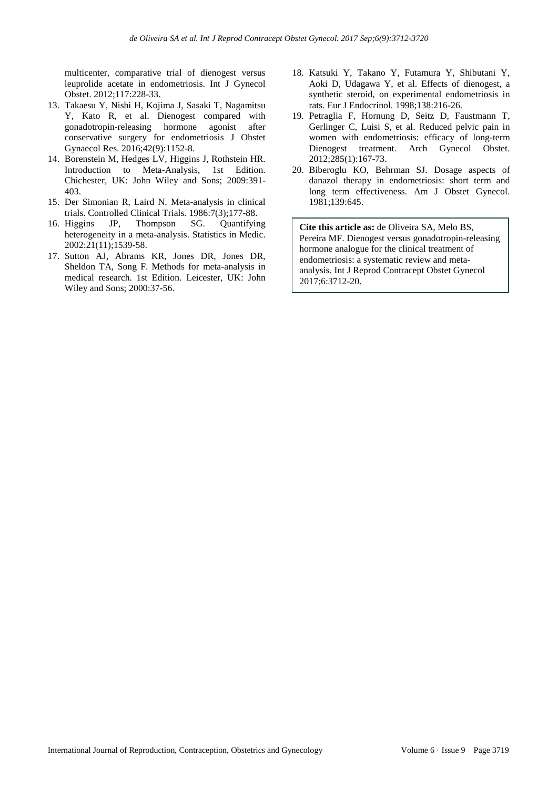multicenter, comparative trial of dienogest versus leuprolide acetate in endometriosis. Int J Gynecol Obstet. 2012;117:228-33.

- 13. Takaesu Y, Nishi H, Kojima J, Sasaki T, Nagamitsu Y, Kato R, et al. Dienogest compared with gonadotropin-releasing hormone agonist after conservative surgery for endometriosis J Obstet Gynaecol Res. 2016;42(9):1152-8.
- 14. Borenstein M, Hedges LV, Higgins J, Rothstein HR. Introduction to Meta-Analysis, 1st Edition. Chichester, UK: John Wiley and Sons; 2009:391- 403.
- 15. Der Simonian R, Laird N. Meta-analysis in clinical trials. Controlled Clinical Trials. 1986:7(3);177-88.
- 16. Higgins JP, Thompson SG. Quantifying heterogeneity in a meta-analysis. Statistics in Medic. 2002:21(11);1539-58.
- 17. Sutton AJ, Abrams KR, Jones DR, Jones DR, Sheldon TA, Song F. Methods for meta-analysis in medical research. 1st Edition. Leicester, UK: John Wiley and Sons; 2000:37-56.
- 18. Katsuki Y, Takano Y, Futamura Y, Shibutani Y, Aoki D, Udagawa Y, et al. Effects of dienogest, a synthetic steroid, on experimental endometriosis in rats. Eur J Endocrinol. 1998;138:216-26.
- 19. Petraglia F, Hornung D, Seitz D, Faustmann T, Gerlinger C, Luisi S, et al. Reduced pelvic pain in women with endometriosis: efficacy of long-term Dienogest treatment. Arch Gynecol Obstet. 2012;285(1):167-73.
- 20. Biberoglu KO, Behrman SJ. Dosage aspects of danazol therapy in endometriosis: short term and long term effectiveness. Am J Obstet Gynecol. 1981;139:645.

**Cite this article as:** de Oliveira SA, Melo BS, Pereira MF. Dienogest versus gonadotropin-releasing hormone analogue for the clinical treatment of endometriosis: a systematic review and metaanalysis. Int J Reprod Contracept Obstet Gynecol 2017;6:3712-20.